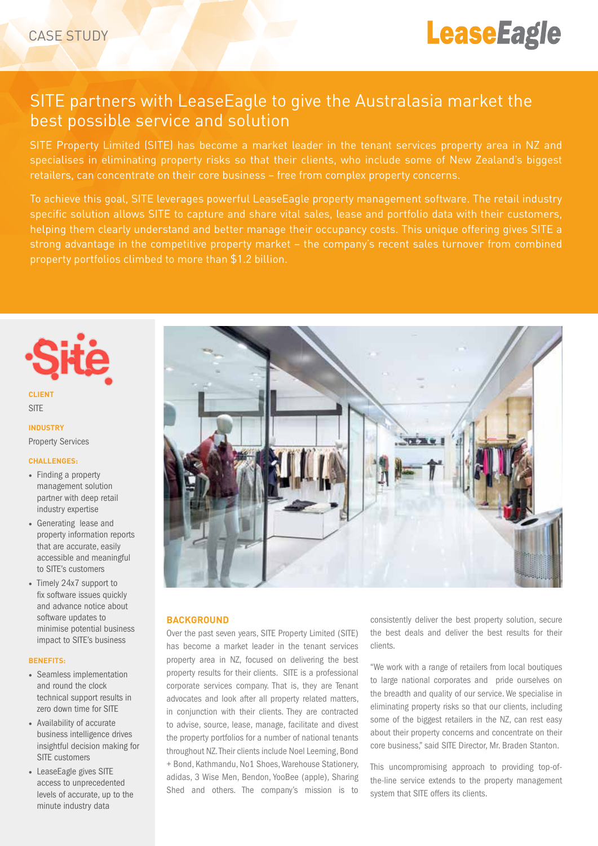# **LeaseEagle**

# SITE partners with LeaseEagle to give the Australasia market the best possible service and solution

SITE Property Limited (SITE) has become a market leader in the tenant services property area in NZ and specialises in eliminating property risks so that their clients, who include some of New Zealand's biggest retailers, can concentrate on their core business – free from complex property concerns.

To achieve this goal, SITE leverages powerful LeaseEagle property management software. The retail industry specific solution allows SITE to capture and share vital sales, lease and portfolio data with their customers, helping them clearly understand and better manage their occupancy costs. This unique offering gives SITE a strong advantage in the competitive property market – the company's recent sales turnover from combined property portfolios climbed to more than \$1.2 billion.



```
Client
SITE
```
**Industry** Property Services

#### **Challenges:**

- Finding a property management solution partner with deep retail industry expertise
- Generating lease and property information reports that are accurate, easily accessible and meaningful to SITE's customers
- Timely 24x7 support to fix software issues quickly and advance notice about software updates to minimise potential business impact to SITE's business

#### **Benefits:**

- Seamless implementation and round the clock technical support results in zero down time for SITE
- Availability of accurate business intelligence drives insightful decision making for SITE customers
- LeaseEagle gives SITE access to unprecedented levels of accurate, up to the minute industry data



# **BACKGROUND**

Over the past seven years, SITE Property Limited (SITE) has become a market leader in the tenant services property area in NZ, focused on delivering the best property results for their clients. SITE is a professional corporate services company. That is, they are Tenant advocates and look after all property related matters, in conjunction with their clients. They are contracted to advise, source, lease, manage, facilitate and divest the property portfolios for a number of national tenants throughout NZ. Their clients include Noel Leeming, Bond + Bond, Kathmandu, No1 Shoes, Warehouse Stationery, adidas, 3 Wise Men, Bendon, YooBee (apple), Sharing Shed and others. The company's mission is to consistently deliver the best property solution, secure the best deals and deliver the best results for their clients.

"We work with a range of retailers from local boutiques to large national corporates and pride ourselves on the breadth and quality of our service. We specialise in eliminating property risks so that our clients, including some of the biggest retailers in the NZ, can rest easy about their property concerns and concentrate on their core business," said SITE Director, Mr. Braden Stanton.

This uncompromising approach to providing top-ofthe-line service extends to the property management system that SITE offers its clients.